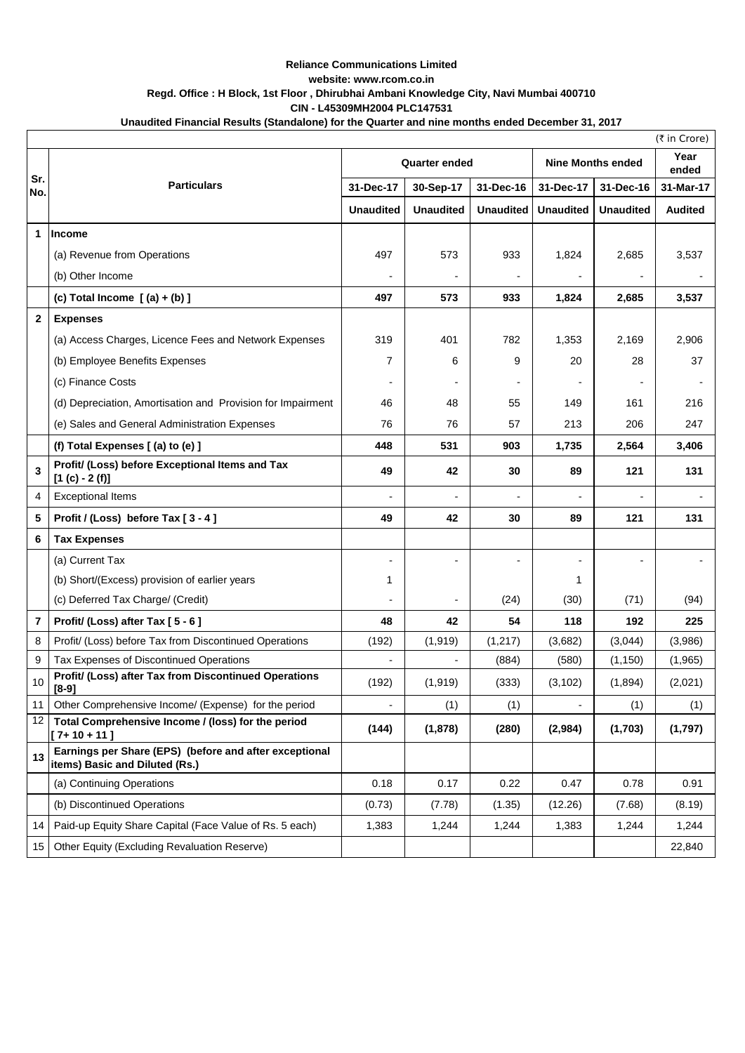## **Reliance Communications Limited website: www.rcom.co.in Regd. Office : H Block, 1st Floor , Dhirubhai Ambani Knowledge City, Navi Mumbai 400710 CIN - L45309MH2004 PLC147531**

| Unaudited Financial Results (Standalone) for the Quarter and nine months ended December 31, 2017 |
|--------------------------------------------------------------------------------------------------|
|--------------------------------------------------------------------------------------------------|

| (₹ in Crore) |                                                                                          |                  |                      |                  |                          |                  |                |  |  |  |  |  |
|--------------|------------------------------------------------------------------------------------------|------------------|----------------------|------------------|--------------------------|------------------|----------------|--|--|--|--|--|
|              | <b>Particulars</b>                                                                       |                  | <b>Quarter ended</b> |                  | <b>Nine Months ended</b> |                  | Year<br>ended  |  |  |  |  |  |
| Sr.<br>No.   |                                                                                          | 31-Dec-17        | 30-Sep-17            | 31-Dec-16        | 31-Dec-17                | 31-Dec-16        | 31-Mar-17      |  |  |  |  |  |
|              |                                                                                          | <b>Unaudited</b> | <b>Unaudited</b>     | <b>Unaudited</b> | <b>Unaudited</b>         | <b>Unaudited</b> | <b>Audited</b> |  |  |  |  |  |
| 1            | <b>Income</b>                                                                            |                  |                      |                  |                          |                  |                |  |  |  |  |  |
|              | (a) Revenue from Operations                                                              | 497              | 573                  | 933              | 1,824                    | 2,685            | 3,537          |  |  |  |  |  |
|              | (b) Other Income                                                                         |                  |                      |                  |                          |                  |                |  |  |  |  |  |
|              | (c) Total Income $(a) + (b)$ ]                                                           | 497              | 573                  | 933              | 1,824                    | 2,685            | 3,537          |  |  |  |  |  |
| 2            | <b>Expenses</b>                                                                          |                  |                      |                  |                          |                  |                |  |  |  |  |  |
|              | (a) Access Charges, Licence Fees and Network Expenses                                    | 319              | 401                  | 782              | 1,353                    | 2,169            | 2,906          |  |  |  |  |  |
|              | (b) Employee Benefits Expenses                                                           | 7                | 6                    | 9                | 20                       | 28               | 37             |  |  |  |  |  |
|              | (c) Finance Costs                                                                        |                  |                      |                  |                          |                  |                |  |  |  |  |  |
|              | (d) Depreciation, Amortisation and Provision for Impairment                              | 46               | 48                   | 55               | 149                      | 161              | 216            |  |  |  |  |  |
|              | (e) Sales and General Administration Expenses                                            | 76               | 76                   | 57               | 213                      | 206              | 247            |  |  |  |  |  |
|              | (f) Total Expenses [(a) to (e) ]                                                         | 448              | 531                  | 903              | 1,735                    | 2,564            | 3,406          |  |  |  |  |  |
| 3            | Profit/ (Loss) before Exceptional Items and Tax<br>$[1 (c) - 2 (f)]$                     | 49               | 42                   | 30               | 89                       | 121              | 131            |  |  |  |  |  |
| 4            | <b>Exceptional Items</b>                                                                 |                  |                      |                  |                          |                  |                |  |  |  |  |  |
| 5            | Profit / (Loss) before Tax [3 - 4]                                                       | 49               | 42                   | 30               | 89                       | 121              | 131            |  |  |  |  |  |
| 6            | <b>Tax Expenses</b>                                                                      |                  |                      |                  |                          |                  |                |  |  |  |  |  |
|              | (a) Current Tax                                                                          |                  |                      |                  | $\overline{a}$           |                  |                |  |  |  |  |  |
|              | (b) Short/(Excess) provision of earlier years                                            | 1                |                      |                  | 1                        |                  |                |  |  |  |  |  |
|              | (c) Deferred Tax Charge/ (Credit)                                                        |                  |                      | (24)             | (30)                     | (71)             | (94)           |  |  |  |  |  |
| 7            | Profit/ (Loss) after Tax [5 - 6]                                                         | 48               | 42                   | 54               | 118                      | 192              | 225            |  |  |  |  |  |
| 8            | Profit/ (Loss) before Tax from Discontinued Operations                                   | (192)            | (1,919)              | (1, 217)         | (3,682)                  | (3,044)          | (3,986)        |  |  |  |  |  |
| 9            | Tax Expenses of Discontinued Operations                                                  |                  |                      | (884)            | (580)                    | (1, 150)         | (1,965)        |  |  |  |  |  |
| 10           | Profit/ (Loss) after Tax from Discontinued Operations<br>$[8-9]$                         | (192)            | (1, 919)             | (333)            | (3, 102)                 | (1,894)          | (2,021)        |  |  |  |  |  |
| 11           | Other Comprehensive Income/ (Expense) for the period                                     |                  | (1)                  | (1)              | $\overline{a}$           | (1)              | (1)            |  |  |  |  |  |
| 12           | Total Comprehensive Income / (loss) for the period<br>$[7+10+11]$                        | (144)            | (1,878)              | (280)            | (2,984)                  | (1,703)          | (1,797)        |  |  |  |  |  |
| 13           | Earnings per Share (EPS) (before and after exceptional<br>items) Basic and Diluted (Rs.) |                  |                      |                  |                          |                  |                |  |  |  |  |  |
|              | (a) Continuing Operations                                                                | 0.18             | 0.17                 | 0.22             | 0.47                     | 0.78             | 0.91           |  |  |  |  |  |
|              | (b) Discontinued Operations                                                              | (0.73)           | (7.78)               | (1.35)           | (12.26)                  | (7.68)           | (8.19)         |  |  |  |  |  |
| 14           | Paid-up Equity Share Capital (Face Value of Rs. 5 each)                                  | 1,383            | 1,244                | 1,244            | 1,383                    | 1,244            | 1,244          |  |  |  |  |  |
| 15           | Other Equity (Excluding Revaluation Reserve)                                             |                  |                      |                  |                          |                  | 22,840         |  |  |  |  |  |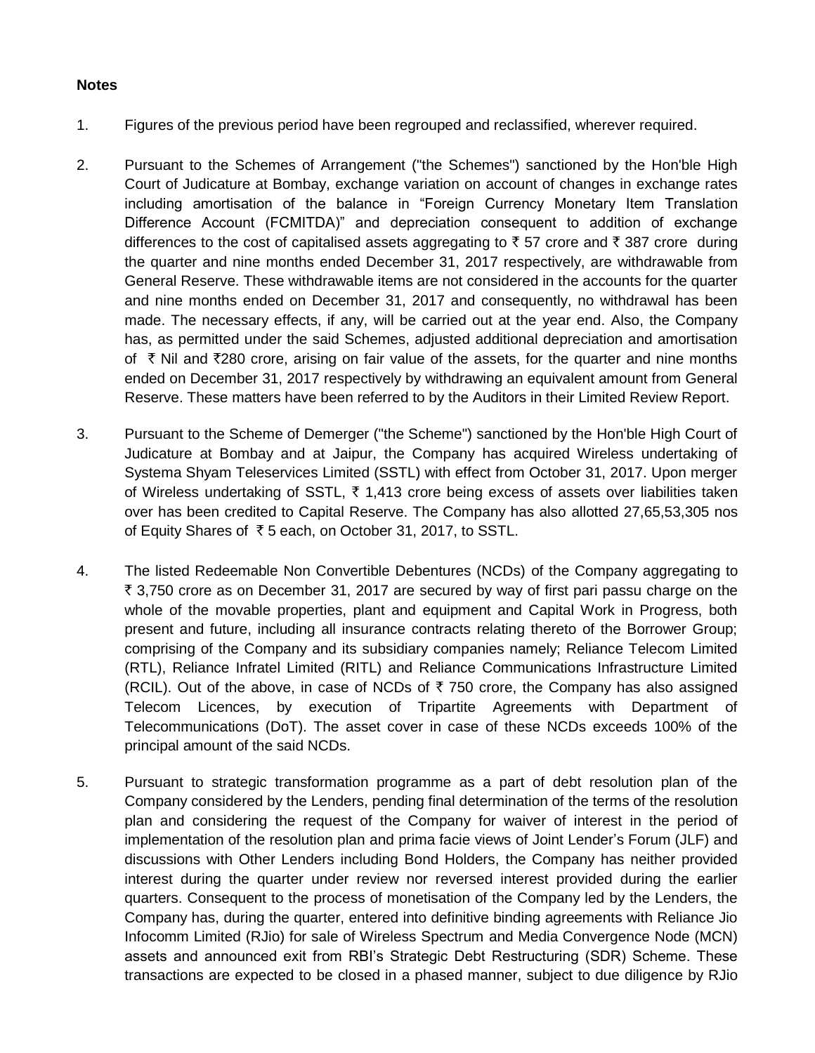## **Notes**

- 1. Figures of the previous period have been regrouped and reclassified, wherever required.
- 2. Pursuant to the Schemes of Arrangement ("the Schemes") sanctioned by the Hon'ble High Court of Judicature at Bombay, exchange variation on account of changes in exchange rates including amortisation of the balance in "Foreign Currency Monetary Item Translation Difference Account (FCMITDA)" and depreciation consequent to addition of exchange differences to the cost of capitalised assets aggregating to  $\bar{\tau}$  57 crore and  $\bar{\tau}$  387 crore during the quarter and nine months ended December 31, 2017 respectively, are withdrawable from General Reserve. These withdrawable items are not considered in the accounts for the quarter and nine months ended on December 31, 2017 and consequently, no withdrawal has been made. The necessary effects, if any, will be carried out at the year end. Also, the Company has, as permitted under the said Schemes, adjusted additional depreciation and amortisation of  $\overline{\tau}$  Nil and  $\overline{\tau}$ 280 crore, arising on fair value of the assets, for the quarter and nine months ended on December 31, 2017 respectively by withdrawing an equivalent amount from General Reserve. These matters have been referred to by the Auditors in their Limited Review Report.
- 3. Pursuant to the Scheme of Demerger ("the Scheme") sanctioned by the Hon'ble High Court of Judicature at Bombay and at Jaipur, the Company has acquired Wireless undertaking of Systema Shyam Teleservices Limited (SSTL) with effect from October 31, 2017. Upon merger of Wireless undertaking of SSTL,  $\bar{\tau}$  1,413 crore being excess of assets over liabilities taken over has been credited to Capital Reserve. The Company has also allotted 27,65,53,305 nos of Equity Shares of  $\overline{\xi}$  5 each, on October 31, 2017, to SSTL.
- 4. The listed Redeemable Non Convertible Debentures (NCDs) of the Company aggregating to ₹ 3,750 crore as on December 31, 2017 are secured by way of first pari passu charge on the whole of the movable properties, plant and equipment and Capital Work in Progress, both present and future, including all insurance contracts relating thereto of the Borrower Group; comprising of the Company and its subsidiary companies namely; Reliance Telecom Limited (RTL), Reliance Infratel Limited (RITL) and Reliance Communications Infrastructure Limited (RCIL). Out of the above, in case of NCDs of  $\bar{\tau}$  750 crore, the Company has also assigned Telecom Licences, by execution of Tripartite Agreements with Department of Telecommunications (DoT). The asset cover in case of these NCDs exceeds 100% of the principal amount of the said NCDs.
- 5. Pursuant to strategic transformation programme as a part of debt resolution plan of the Company considered by the Lenders, pending final determination of the terms of the resolution plan and considering the request of the Company for waiver of interest in the period of implementation of the resolution plan and prima facie views of Joint Lender's Forum (JLF) and discussions with Other Lenders including Bond Holders, the Company has neither provided interest during the quarter under review nor reversed interest provided during the earlier quarters. Consequent to the process of monetisation of the Company led by the Lenders, the Company has, during the quarter, entered into definitive binding agreements with Reliance Jio Infocomm Limited (RJio) for sale of Wireless Spectrum and Media Convergence Node (MCN) assets and announced exit from RBI's Strategic Debt Restructuring (SDR) Scheme. These transactions are expected to be closed in a phased manner, subject to due diligence by RJio